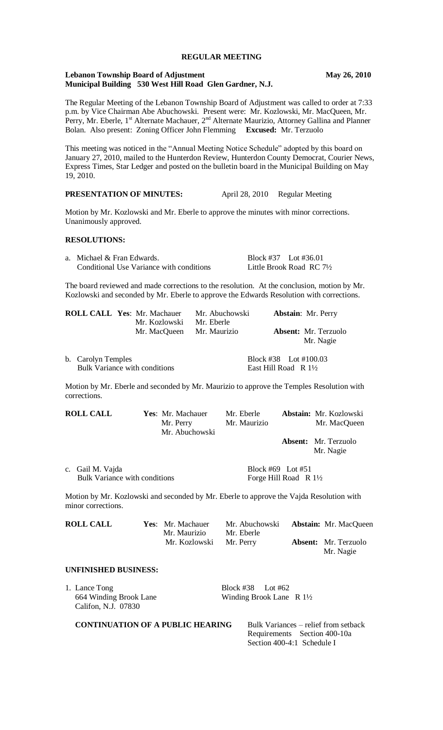## **REGULAR MEETING**

### **Lebanon Township Board of Adjustment May 26, 2010 Municipal Building 530 West Hill Road Glen Gardner, N.J.**

The Regular Meeting of the Lebanon Township Board of Adjustment was called to order at 7:33 p.m. by Vice Chairman Abe Abuchowski. Present were: Mr. Kozlowski, Mr. MacQueen, Mr. Perry, Mr. Eberle,  $1^{st}$  Alternate Machauer,  $2^{nd}$  Alternate Maurizio, Attorney Gallina and Planner Bolan. Also present: Zoning Officer John Flemming **Excused:** Mr. Terzuolo

This meeting was noticed in the "Annual Meeting Notice Schedule" adopted by this board on January 27, 2010, mailed to the Hunterdon Review, Hunterdon County Democrat, Courier News, Express Times, Star Ledger and posted on the bulletin board in the Municipal Building on May 19, 2010.

# **PRESENTATION OF MINUTES:** April 28, 2010 Regular Meeting

Motion by Mr. Kozlowski and Mr. Eberle to approve the minutes with minor corrections. Unanimously approved.

#### **RESOLUTIONS:**

| a. Michael & Fran Edwards.               | Block #37 Lot #36.01 |                                     |
|------------------------------------------|----------------------|-------------------------------------|
| Conditional Use Variance with conditions |                      | Little Brook Road RC $7\frac{1}{2}$ |

The board reviewed and made corrections to the resolution. At the conclusion, motion by Mr. Kozlowski and seconded by Mr. Eberle to approve the Edwards Resolution with corrections.

|                    | <b>ROLL CALL Yes: Mr. Machauer</b><br>Mr. Kozlowski | Mr. Abuchowski<br>Mr. Eberle |                                                            | <b>Abstain:</b> Mr. Perry                |
|--------------------|-----------------------------------------------------|------------------------------|------------------------------------------------------------|------------------------------------------|
|                    | Mr. MacQueen Mr. Maurizio                           |                              |                                                            | <b>Absent:</b> Mr. Terzuolo<br>Mr. Nagie |
| b. Carolyn Temples | <b>Bulk Variance with conditions</b>                |                              | Block #38 Lot #100.03<br>East Hill Road $\ R 1\frac{1}{2}$ |                                          |

Motion by Mr. Eberle and seconded by Mr. Maurizio to approve the Temples Resolution with corrections.

| <b>ROLL CALL</b>                                         | Yes: Mr. Machauer<br>Mr. Perry<br>Mr. Abuchowski | Mr. Eberle<br>Mr. Maurizio |                                                       | <b>Abstain:</b> Mr. Kozlowski<br>Mr. MacQueen |
|----------------------------------------------------------|--------------------------------------------------|----------------------------|-------------------------------------------------------|-----------------------------------------------|
|                                                          |                                                  |                            |                                                       | <b>Absent:</b> Mr. Terzuolo<br>Mr. Nagie      |
| c. Gail M. Vajda<br><b>Bulk Variance with conditions</b> |                                                  |                            | Block #69 Lot #51<br>Forge Hill Road R $1\frac{1}{2}$ |                                               |

Motion by Mr. Kozlowski and seconded by Mr. Eberle to approve the Vajda Resolution with minor corrections.

| <b>ROLL CALL</b> | Yes: Mr. Machauer       | Mr. Abuchowski | <b>Abstain:</b> Mr. MacQueen |
|------------------|-------------------------|----------------|------------------------------|
|                  | Mr. Maurizio            | Mr. Eberle     |                              |
|                  | Mr. Kozlowski Mr. Perry |                | <b>Absent:</b> Mr. Terzuolo  |
|                  |                         |                | Mr. Nagie                    |

#### **UNFINISHED BUSINESS:**

| <b>CONTINUATION OF A PUBLIC HEARING</b>                        |                                                            | Bulk Variances – relief from setback |
|----------------------------------------------------------------|------------------------------------------------------------|--------------------------------------|
| 1. Lance Tong<br>664 Winding Brook Lane<br>Califon, N.J. 07830 | Block #38 Lot #62<br>Winding Brook Lane $\ R 1\frac{1}{2}$ |                                      |

Requirements Section 400-10a Section 400-4:1 Schedule I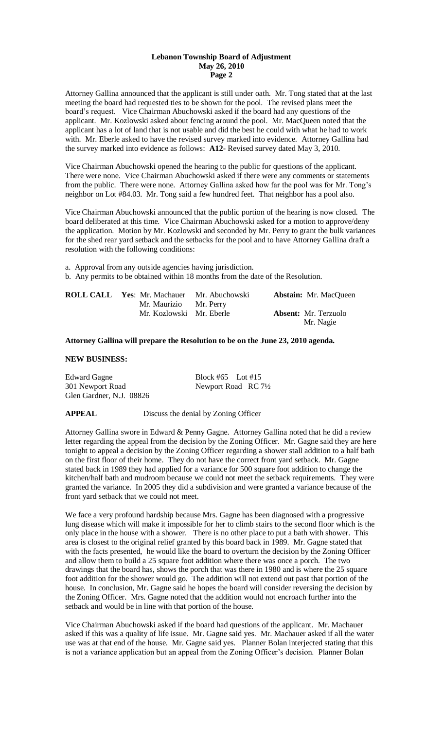Attorney Gallina announced that the applicant is still under oath. Mr. Tong stated that at the last meeting the board had requested ties to be shown for the pool. The revised plans meet the board's request. Vice Chairman Abuchowski asked if the board had any questions of the applicant. Mr. Kozlowski asked about fencing around the pool. Mr. MacQueen noted that the applicant has a lot of land that is not usable and did the best he could with what he had to work with. Mr. Eberle asked to have the revised survey marked into evidence. Attorney Gallina had the survey marked into evidence as follows: **A12**- Revised survey dated May 3, 2010.

Vice Chairman Abuchowski opened the hearing to the public for questions of the applicant. There were none. Vice Chairman Abuchowski asked if there were any comments or statements from the public. There were none. Attorney Gallina asked how far the pool was for Mr. Tong's neighbor on Lot #84.03. Mr. Tong said a few hundred feet. That neighbor has a pool also.

Vice Chairman Abuchowski announced that the public portion of the hearing is now closed. The board deliberated at this time. Vice Chairman Abuchowski asked for a motion to approve/deny the application. Motion by Mr. Kozlowski and seconded by Mr. Perry to grant the bulk variances for the shed rear yard setback and the setbacks for the pool and to have Attorney Gallina draft a resolution with the following conditions:

a. Approval from any outside agencies having jurisdiction. b. Any permits to be obtained within 18 months from the date of the Resolution.

| ROLL CALL | <b>Yes:</b> Mr. Machauer Mr. Abuchowski | <b>Abstain:</b> Mr. MacQueen             |
|-----------|-----------------------------------------|------------------------------------------|
|           | Mr. Maurizio Mr. Perry                  |                                          |
|           | Mr. Kozlowski Mr. Eberle                | <b>Absent:</b> Mr. Terzuolo<br>Mr. Nagie |

#### **Attorney Gallina will prepare the Resolution to be on the June 23, 2010 agenda.**

## **NEW BUSINESS:**

Edward Gagne Block #65 Lot #15 301 Newport Road Newport Road RC 71/2 Glen Gardner, N.J. 08826

**APPEAL** Discuss the denial by Zoning Officer

Attorney Gallina swore in Edward & Penny Gagne. Attorney Gallina noted that he did a review letter regarding the appeal from the decision by the Zoning Officer. Mr. Gagne said they are here tonight to appeal a decision by the Zoning Officer regarding a shower stall addition to a half bath on the first floor of their home. They do not have the correct front yard setback. Mr. Gagne stated back in 1989 they had applied for a variance for 500 square foot addition to change the kitchen/half bath and mudroom because we could not meet the setback requirements. They were granted the variance. In 2005 they did a subdivision and were granted a variance because of the front yard setback that we could not meet.

We face a very profound hardship because Mrs. Gagne has been diagnosed with a progressive lung disease which will make it impossible for her to climb stairs to the second floor which is the only place in the house with a shower. There is no other place to put a bath with shower. This area is closest to the original relief granted by this board back in 1989. Mr. Gagne stated that with the facts presented, he would like the board to overturn the decision by the Zoning Officer and allow them to build a 25 square foot addition where there was once a porch. The two drawings that the board has, shows the porch that was there in 1980 and is where the 25 square foot addition for the shower would go. The addition will not extend out past that portion of the house. In conclusion, Mr. Gagne said he hopes the board will consider reversing the decision by the Zoning Officer. Mrs. Gagne noted that the addition would not encroach further into the setback and would be in line with that portion of the house.

Vice Chairman Abuchowski asked if the board had questions of the applicant. Mr. Machauer asked if this was a quality of life issue. Mr. Gagne said yes. Mr. Machauer asked if all the water use was at that end of the house. Mr. Gagne said yes. Planner Bolan interjected stating that this is not a variance application but an appeal from the Zoning Officer's decision. Planner Bolan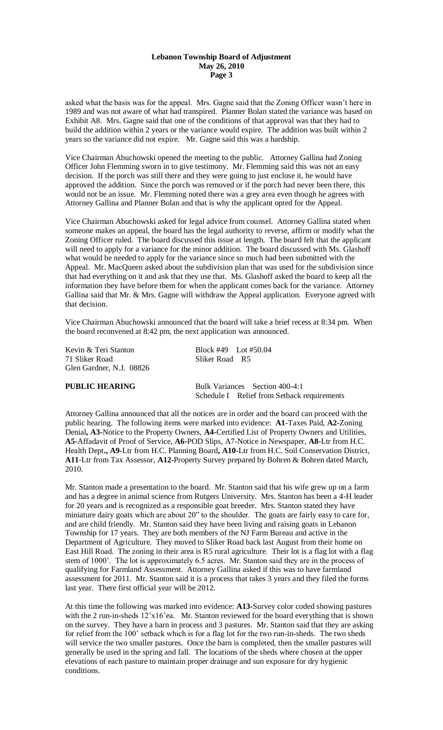asked what the basis was for the appeal. Mrs. Gagne said that the Zoning Officer wasn't here in 1989 and was not aware of what had transpired. Planner Bolan stated the variance was based on Exhibit A8. Mrs. Gagne said that one of the conditions of that approval was that they had to build the addition within 2 years or the variance would expire. The addition was built within 2 years so the variance did not expire. Mr. Gagne said this was a hardship.

Vice Chairman Abuchowski opened the meeting to the public. Attorney Gallina had Zoning Officer John Flemming sworn in to give testimony. Mr. Flemming said this was not an easy decision. If the porch was still there and they were going to just enclose it, he would have approved the addition. Since the porch was removed or if the porch had never been there, this would not be an issue. Mr. Flemming noted there was a grey area even though he agrees with Attorney Gallina and Planner Bolan and that is why the applicant opted for the Appeal.

Vice Chairman Abuchowski asked for legal advice from counsel. Attorney Gallina stated when someone makes an appeal, the board has the legal authority to reverse, affirm or modify what the Zoning Officer ruled. The board discussed this issue at length. The board felt that the applicant will need to apply for a variance for the minor addition. The board discussed with Ms. Glashoff what would be needed to apply for the variance since so much had been submitted with the Appeal. Mr. MacQueen asked about the subdivision plan that was used for the subdivision since that had everything on it and ask that they use that. Ms. Glashoff asked the board to keep all the information they have before them for when the applicant comes back for the variance. Attorney Gallina said that Mr. & Mrs. Gagne will withdraw the Appeal application. Everyone agreed with that decision.

Vice Chairman Abuchowski announced that the board will take a brief recess at 8:34 pm. When the board reconvened at 8:42 pm, the next application was announced.

Kevin & Teri Stanton Block #49 Lot #50.04 71 Sliker Road Sliker Road R5 Glen Gardner, N.J. 08826

**PUBLIC HEARING** Bulk Variances Section 400-4:1 Schedule I Relief from Setback requirements

Attorney Gallina announced that all the notices are in order and the board can proceed with the public hearing. The following items were marked into evidence: **A1**-Taxes Paid, **A2-**Zoning Denial**, A3-**Notice to the Property Owners, **A4-**Certified List of Property Owners and Utilities, **A5-**Affadavit of Proof of Service, **A6-**POD Slips, A7-Notice in Newspaper, **A8-**Ltr from H.C. Health Dept**., A9**-Ltr from H.C. Planning Board**, A10**-Ltr from H.C. Soil Conservation District, **A11**-Ltr from Tax Assessor, **A12-**Property Survey prepared by Bohren & Bohren dated March, 2010.

Mr. Stanton made a presentation to the board. Mr. Stanton said that his wife grew up on a farm and has a degree in animal science from Rutgers University. Mrs. Stanton has been a 4-H leader for 20 years and is recognized as a responsible goat breeder. Mrs. Stanton stated they have miniature dairy goats which are about 20" to the shoulder. The goats are fairly easy to care for, and are child friendly. Mr. Stanton said they have been living and raising goats in Lebanon Township for 17 years. They are both members of the NJ Farm Bureau and active in the Department of Agriculture. They moved to Sliker Road back last August from their home on East Hill Road. The zoning in their area is R5 rural agriculture. Their lot is a flag lot with a flag stem of 1000'. The lot is approximately 6.5 acres. Mr. Stanton said they are in the process of qualifying for Farmland Assessment. Attorney Gallina asked if this was to have farmland assessment for 2011. Mr. Stanton said it is a process that takes 3 years and they filed the forms last year. There first official year will be 2012.

At this time the following was marked into evidence: **A13-**Survey color coded showing pastures with the 2 run-in-sheds  $12'x16'$  ea. Mr. Stanton reviewed for the board everything that is shown on the survey. They have a barn in process and 3 pastures. Mr. Stanton said that they are asking for relief from the 100' setback which is for a flag lot for the two run-in-sheds. The two sheds will service the two smaller pastures. Once the barn is completed, then the smaller pastures will generally be used in the spring and fall. The locations of the sheds where chosen at the upper elevations of each pasture to maintain proper drainage and sun exposure for dry hygienic conditions.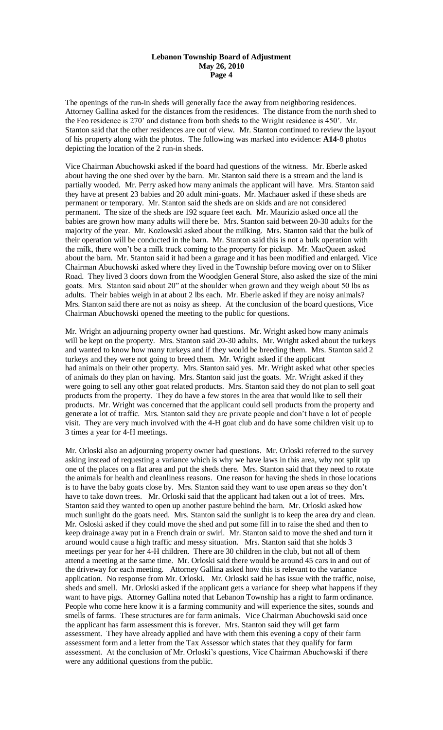The openings of the run-in sheds will generally face the away from neighboring residences. Attorney Gallina asked for the distances from the residences. The distance from the north shed to the Feo residence is 270' and distance from both sheds to the Wright residence is 450'. Mr. Stanton said that the other residences are out of view. Mr. Stanton continued to review the layout of his property along with the photos. The following was marked into evidence: **A14**-8 photos depicting the location of the 2 run-in sheds.

Vice Chairman Abuchowski asked if the board had questions of the witness. Mr. Eberle asked about having the one shed over by the barn. Mr. Stanton said there is a stream and the land is partially wooded. Mr. Perry asked how many animals the applicant will have. Mrs. Stanton said they have at present 23 babies and 20 adult mini-goats. Mr. Machauer asked if these sheds are permanent or temporary. Mr. Stanton said the sheds are on skids and are not considered permanent. The size of the sheds are 192 square feet each. Mr. Maurizio asked once all the babies are grown how many adults will there be. Mrs. Stanton said between 20-30 adults for the majority of the year. Mr. Kozlowski asked about the milking. Mrs. Stanton said that the bulk of their operation will be conducted in the barn. Mr. Stanton said this is not a bulk operation with the milk, there won't be a milk truck coming to the property for pickup. Mr. MacQueen asked about the barn. Mr. Stanton said it had been a garage and it has been modified and enlarged. Vice Chairman Abuchowski asked where they lived in the Township before moving over on to Sliker Road. They lived 3 doors down from the Woodglen General Store, also asked the size of the mini goats. Mrs. Stanton said about 20" at the shoulder when grown and they weigh about 50 lbs as adults. Their babies weigh in at about 2 lbs each. Mr. Eberle asked if they are noisy animals? Mrs. Stanton said there are not as noisy as sheep. At the conclusion of the board questions, Vice Chairman Abuchowski opened the meeting to the public for questions.

Mr. Wright an adjourning property owner had questions. Mr. Wright asked how many animals will be kept on the property. Mrs. Stanton said 20-30 adults. Mr. Wright asked about the turkeys and wanted to know how many turkeys and if they would be breeding them. Mrs. Stanton said 2 turkeys and they were not going to breed them. Mr. Wright asked if the applicant had animals on their other property. Mrs. Stanton said yes. Mr. Wright asked what other species of animals do they plan on having. Mrs. Stanton said just the goats. Mr. Wright asked if they were going to sell any other goat related products. Mrs. Stanton said they do not plan to sell goat products from the property. They do have a few stores in the area that would like to sell their products. Mr. Wright was concerned that the applicant could sell products from the property and generate a lot of traffic. Mrs. Stanton said they are private people and don't have a lot of people visit. They are very much involved with the 4-H goat club and do have some children visit up to 3 times a year for 4-H meetings.

Mr. Orloski also an adjourning property owner had questions. Mr. Orloski referred to the survey asking instead of requesting a variance which is why we have laws in this area, why not split up one of the places on a flat area and put the sheds there. Mrs. Stanton said that they need to rotate the animals for health and cleanliness reasons. One reason for having the sheds in those locations is to have the baby goats close by. Mrs. Stanton said they want to use open areas so they don't have to take down trees. Mr. Orloski said that the applicant had taken out a lot of trees. Mrs. Stanton said they wanted to open up another pasture behind the barn. Mr. Orloski asked how much sunlight do the goats need. Mrs. Stanton said the sunlight is to keep the area dry and clean. Mr. Osloski asked if they could move the shed and put some fill in to raise the shed and then to keep drainage away put in a French drain or swirl. Mr. Stanton said to move the shed and turn it around would cause a high traffic and messy situation. Mrs. Stanton said that she holds 3 meetings per year for her 4-H children. There are 30 children in the club, but not all of them attend a meeting at the same time. Mr. Orloski said there would be around 45 cars in and out of the driveway for each meeting. Attorney Gallina asked how this is relevant to the variance application. No response from Mr. Orloski. Mr. Orloski said he has issue with the traffic, noise, sheds and smell. Mr. Orloski asked if the applicant gets a variance for sheep what happens if they want to have pigs. Attorney Gallina noted that Lebanon Township has a right to farm ordinance. People who come here know it is a farming community and will experience the sites, sounds and smells of farms. These structures are for farm animals. Vice Chairman Abuchowski said once the applicant has farm assessment this is forever. Mrs. Stanton said they will get farm assessment. They have already applied and have with them this evening a copy of their farm assessment form and a letter from the Tax Assessor which states that they qualify for farm assessment. At the conclusion of Mr. Orloski's questions, Vice Chairman Abuchowski if there were any additional questions from the public.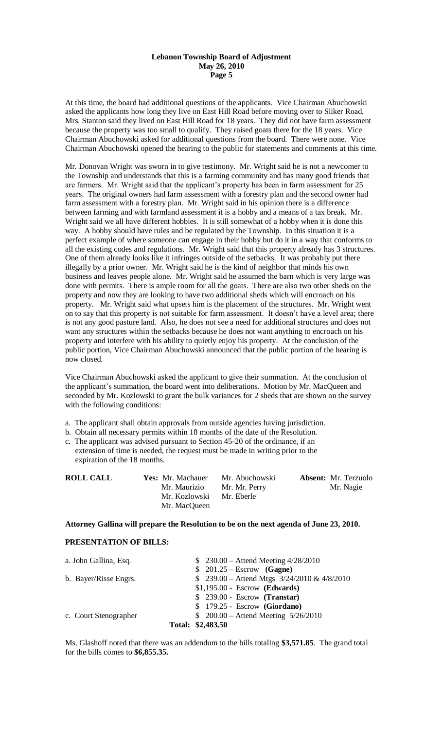At this time, the board had additional questions of the applicants. Vice Chairman Abuchowski asked the applicants how long they live on East Hill Road before moving over to Sliker Road. Mrs. Stanton said they lived on East Hill Road for 18 years. They did not have farm assessment because the property was too small to qualify. They raised goats there for the 18 years. Vice Chairman Abuchowski asked for additional questions from the board. There were none. Vice Chairman Abuchowski opened the hearing to the public for statements and comments at this time.

Mr. Donovan Wright was sworn in to give testimony. Mr. Wright said he is not a newcomer to the Township and understands that this is a farming community and has many good friends that are farmers. Mr. Wright said that the applicant's property has been in farm assessment for 25 years. The original owners had farm assessment with a forestry plan and the second owner had farm assessment with a forestry plan. Mr. Wright said in his opinion there is a difference between farming and with farmland assessment it is a hobby and a means of a tax break. Mr. Wright said we all have different hobbies. It is still somewhat of a hobby when it is done this way. A hobby should have rules and be regulated by the Township. In this situation it is a perfect example of where someone can engage in their hobby but do it in a way that conforms to all the existing codes and regulations. Mr. Wright said that this property already has 3 structures. One of them already looks like it infringes outside of the setbacks. It was probably put there illegally by a prior owner. Mr. Wright said he is the kind of neighbor that minds his own business and leaves people alone. Mr. Wright said he assumed the barn which is very large was done with permits. There is ample room for all the goats. There are also two other sheds on the property and now they are looking to have two additional sheds which will encroach on his property. Mr. Wright said what upsets him is the placement of the structures. Mr. Wright went on to say that this property is not suitable for farm assessment. It doesn't have a level area; there is not any good pasture land. Also, he does not see a need for additional structures and does not want any structures within the setbacks because he does not want anything to encroach on his property and interfere with his ability to quietly enjoy his property. At the conclusion of the public portion, Vice Chairman Abuchowski announced that the public portion of the hearing is now closed.

Vice Chairman Abuchowski asked the applicant to give their summation. At the conclusion of the applicant's summation, the board went into deliberations. Motion by Mr. MacQueen and seconded by Mr. Kozlowski to grant the bulk variances for 2 sheds that are shown on the survey with the following conditions:

- a. The applicant shall obtain approvals from outside agencies having jurisdiction.
- b. Obtain all necessary permits within 18 months of the date of the Resolution.
- c. The applicant was advised pursuant to Section 45-20 of the ordinance, if an extension of time is needed, the request must be made in writing prior to the expiration of the 18 months.

| <b>ROLL CALL</b> | <b>Yes:</b> Mr. Machauer | Mr. Abuchowski | <b>Absent:</b> Mr. Terzuolo |
|------------------|--------------------------|----------------|-----------------------------|
|                  | Mr. Maurizio             | Mr. Mr. Perry  | Mr. Nagie                   |
|                  | Mr. Kozlowski            | Mr. Eberle     |                             |
|                  | Mr. MacQueen             |                |                             |

### **Attorney Gallina will prepare the Resolution to be on the next agenda of June 23, 2010.**

#### **PRESENTATION OF BILLS:**

| a. John Gallina, Esq. | $$230.00 - Attend Meeting 4/28/2010$            |
|-----------------------|-------------------------------------------------|
|                       | $$201.25 - Escrow$ (Gagne)                      |
| b. Bayer/Risse Engrs. | \$ 239.00 - Attend Mtgs $3/24/2010 \& 4/8/2010$ |
|                       | $$1,195.00 - Escrow$ (Edwards)                  |
|                       | $$239.00 - Escrow (Transfer)$                   |
|                       | $$179.25 - Escrow$ (Giordano)                   |
| c. Court Stenographer | \$ $200.00 -$ Attend Meeting $5/26/2010$        |
|                       | Total: \$2,483.50                               |

Ms. Glashoff noted that there was an addendum to the bills totaling **\$3,571.85**. The grand total for the bills comes to **\$6,855.35.**